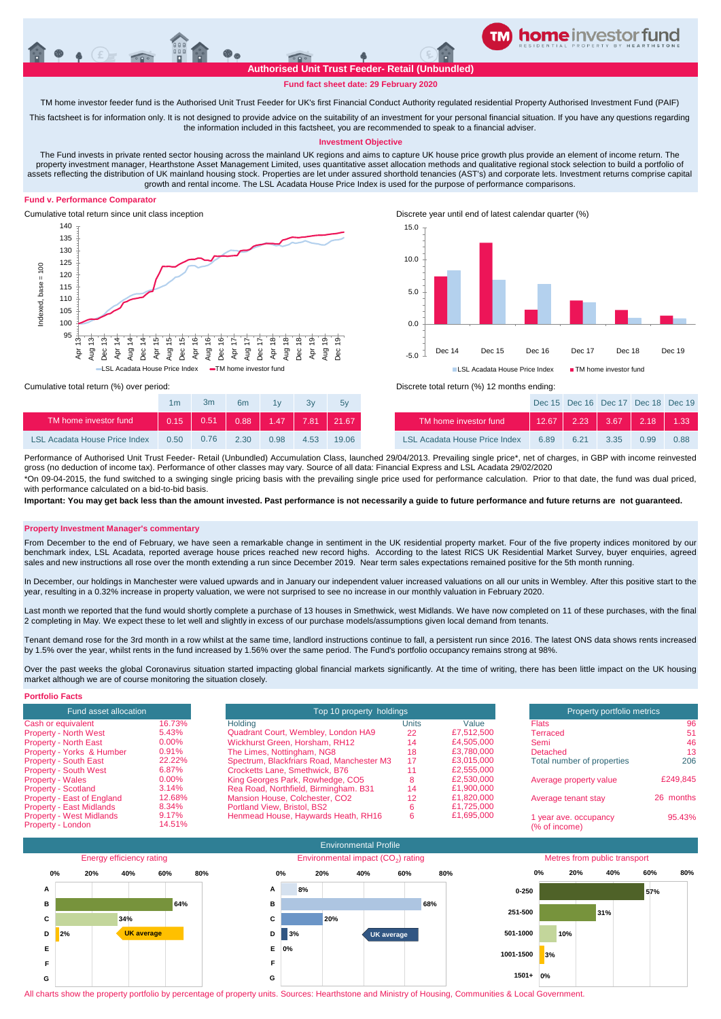**Authorised Unit Trust Feeder- Retail (Unbundled)**

**TM home investor feeder fund**

# **Fund fact sheet date: 29 February 2020**

TM home investor feeder fund is the Authorised Unit Trust Feeder for UK's first Financial Conduct Authority regulated residential Property Authorised Investment Fund (PAIF)

This factsheet is for information only. It is not designed to provide advice on the suitability of an investment for your personal financial situation. If you have any questions regarding the information included in this factsheet, you are recommended to speak to a financial adviser.

## **Investment Objective**

The Fund invests in private rented sector housing across the mainland UK regions and aims to capture UK house price growth plus provide an element of income return. The property investment manager, Hearthstone Asset Management Limited, uses quantitative asset allocation methods and qualitative regional stock selection to build a portfolio of assets reflecting the distribution of UK mainland housing stock. Properties are let under assured shorthold tenancies (AST's) and corporate lets. Investment returns comprise capital growth and rental income. The LSL Acadata House Price Index is used for the purpose of performance comparisons.

### **Fund v. Performance Comparator**





Dec 15 Dec 16 Dec 17 Dec 18 Dec 19

|                                      | 1m    | 3m   | 6 <sub>m</sub> | 1v   | 3v   | 5v    |                          |
|--------------------------------------|-------|------|----------------|------|------|-------|--------------------------|
| TM home investor fund                | 0.15. | 0.51 | 0.88           | 1.47 | 7.81 | 21.67 | TM home invest           |
| <b>LSL Acadata House Price Index</b> | 0.50  | 0.76 | 2.30           | 0.98 | 4.53 | 19.06 | <b>LSL Acadata House</b> |

Cumulative total return (%) over period: Discrete total return (%) 12 months ending:

| TM home investor fund                                                                                                                                                            | 0.15 | 0.51 | 0.88 | 1.47 | 7.81 | $21.\overline{67}$ |  | TM home investor fund         | 12.67 | 2.23 | 3.67 | 2.18 | 1.33 |
|----------------------------------------------------------------------------------------------------------------------------------------------------------------------------------|------|------|------|------|------|--------------------|--|-------------------------------|-------|------|------|------|------|
| LSL Acadata House Price Index                                                                                                                                                    | 0.50 | 0.76 | 2.30 | 0.98 | 4.53 | 19.06              |  | LSL Acadata House Price Index | 6.89  | 6.21 | 3.35 | O 99 | 0.88 |
| Performance of Authorised Unit Trust Feeder- Retail (Unbundled) Accumulation Class, launched 29/04/2013. Prevailing single price*, net of charges, in GBP with income reinvested |      |      |      |      |      |                    |  |                               |       |      |      |      |      |

gross (no deduction of income tax). Performance of other classes may vary. Source of all data: Financial Express and LSL Acadata 29/02/2020 \*On 09-04-2015, the fund switched to a swinging single pricing basis with the prevailing single price used for performance calculation. Prior to that date, the fund was dual priced, with performance calculated on a bid-to-bid basis

**Important: You may get back less than the amount invested. Past performance is not necessarily a guide to future performance and future returns are not guaranteed.** 

#### **Property Investment Manager's commentary**

From December to the end of February, we have seen a remarkable change in sentiment in the UK residential property market. Four of the five property indices monitored by our benchmark index, LSL Acadata, reported average house prices reached new record highs. According to the latest RICS UK Residential Market Survey, buyer enquiries, agreed sales and new instructions all rose over the month extending a run since December 2019. Near term sales expectations remained positive for the 5th month running.

In December, our holdings in Manchester were valued upwards and in January our independent valuer increased valuations on all our units in Wembley. After this positive start to the year, resulting in a 0.32% increase in property valuation, we were not surprised to see no increase in our monthly valuation in February 2020.

Last month we reported that the fund would shortly complete a purchase of 13 houses in Smethwick, west Midlands. We have now completed on 11 of these purchases, with the final 2 completing in May. We expect these to let well and slightly in excess of our purchase models/assumptions given local demand from tenants.

Tenant demand rose for the 3rd month in a row whilst at the same time, landlord instructions continue to fall, a persistent run since 2016. The latest ONS data shows rents increased by 1.5% over the year, whilst rents in the fund increased by 1.56% over the same period. The Fund's portfolio occupancy remains strong at 98%.

Over the past weeks the global Coronavirus situation started impacting global financial markets significantly. At the time of writing, there has been little impact on the UK housing market although we are of course monitoring the situation closely.

| <b>Portfolio Facts</b>          |          |                                           |                          |            |                            |           |  |
|---------------------------------|----------|-------------------------------------------|--------------------------|------------|----------------------------|-----------|--|
| Fund asset allocation           |          |                                           | Top 10 property holdings |            |                            |           |  |
| Cash or equivalent              | 16.73%   | Holdina                                   | Units                    | Value      | <b>Flats</b>               | 96        |  |
| <b>Property - North West</b>    | 5.43%    | Quadrant Court, Wembley, London HA9       | 22                       | £7.512.500 | Terraced                   | 51        |  |
| <b>Property - North East</b>    | $0.00\%$ | Wickhurst Green, Horsham, RH12            | 14                       | £4,505,000 | Semi                       | 46        |  |
| Property - Yorks & Humber       | 0.91%    | The Limes, Nottingham, NG8                | 18                       | £3,780,000 | Detached                   | 13        |  |
| <b>Property - South East</b>    | 22.22%   | Spectrum, Blackfriars Road, Manchester M3 | 17                       | £3.015.000 | Total number of properties | 206       |  |
| <b>Property - South West</b>    | 6.87%    | Crocketts Lane, Smethwick, B76            |                          | £2,555,000 |                            |           |  |
| <b>Property - Wales</b>         | $0.00\%$ | King Georges Park, Rowhedge, CO5          |                          | £2,530,000 | Average property value     | £249,845  |  |
| <b>Property - Scotland</b>      | 3.14%    | Rea Road, Northfield, Birmingham, B31     | 14                       | £1,900,000 |                            |           |  |
| Property - East of England      | 12.68%   | Mansion House, Colchester, CO2            | 12                       | £1.820.000 | Average tenant stay        | 26 months |  |
| <b>Property - East Midlands</b> | 8.34%    | Portland View, Bristol, BS2               |                          | £1.725,000 |                            |           |  |
| <b>Property - West Midlands</b> | 9.17%    | Henmead House, Haywards Heath, RH16       |                          | £1.695.000 | I year ave. occupancy      | 95.43%    |  |
| Property - London               | 14.51%   |                                           |                          |            | (% of income)              |           |  |



All charts show the property portfolio by percentage of property units. Sources: Hearthstone and Ministry of Housing, Communities & Local Government.